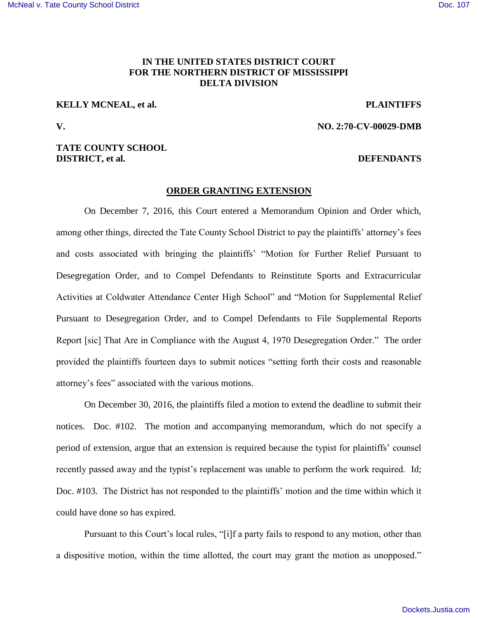### **IN THE UNITED STATES DISTRICT COURT FOR THE NORTHERN DISTRICT OF MISSISSIPPI DELTA DIVISION**

# **KELLY MCNEAL, et al.** PLAINTIFFS

**V. NO. 2:70-CV-00029-DMB** 

### **TATE COUNTY SCHOOL DISTRICT, et al.** DEFENDANTS

#### **ORDER GRANTING EXTENSION**

 On December 7, 2016, this Court entered a Memorandum Opinion and Order which, among other things, directed the Tate County School District to pay the plaintiffs' attorney's fees and costs associated with bringing the plaintiffs' "Motion for Further Relief Pursuant to Desegregation Order, and to Compel Defendants to Reinstitute Sports and Extracurricular Activities at Coldwater Attendance Center High School" and "Motion for Supplemental Relief Pursuant to Desegregation Order, and to Compel Defendants to File Supplemental Reports Report [sic] That Are in Compliance with the August 4, 1970 Desegregation Order." The order provided the plaintiffs fourteen days to submit notices "setting forth their costs and reasonable attorney's fees" associated with the various motions.

 On December 30, 2016, the plaintiffs filed a motion to extend the deadline to submit their notices. Doc. #102. The motion and accompanying memorandum, which do not specify a period of extension, argue that an extension is required because the typist for plaintiffs' counsel recently passed away and the typist's replacement was unable to perform the work required. Id; Doc. #103. The District has not responded to the plaintiffs' motion and the time within which it could have done so has expired.

Pursuant to this Court's local rules, "[i]f a party fails to respond to any motion, other than a dispositive motion, within the time allotted, the court may grant the motion as unopposed."